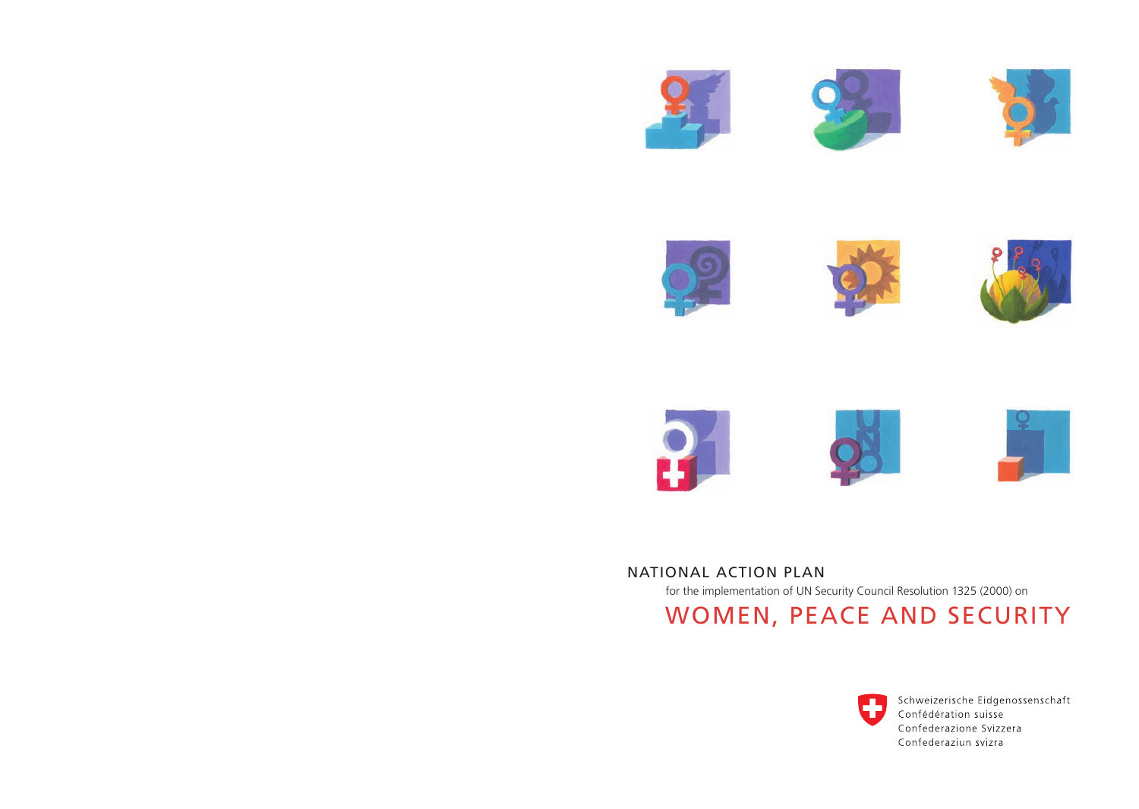













WOMEN, PEACE AND SECURITY National Action Plan for the implementation of UN Security Council Resolution 1325 (2000) on



Schweizerische Eidgenossenschaft Confédération suisse Confederazione Svizzera Confederaziun svizra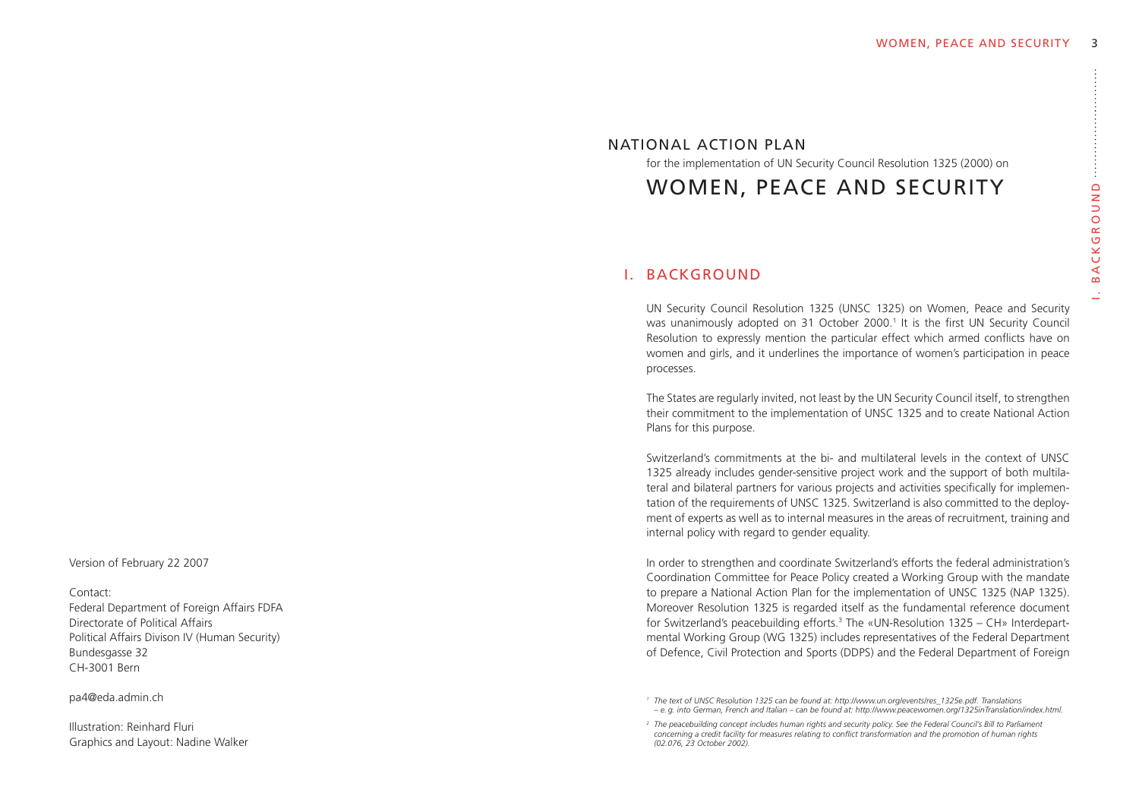# ACKGROUND . B a c k g r o u n d  $\overline{m}$

National Action Plan

for the implementation of UN Security Council Resolution 1325 (2000) on

Women, Peace and Security

## I. Background

UN Security Council Resolution 1325 (UNSC 1325) on Women, Peace and Security was unanimously adopted on 31 October 2000.<sup>1</sup> It is the first UN Security Council Resolution to expressly mention the particular effect which armed conflicts have on women and girls, and it underlines the importance of women's participation in peace processes.

The States are regularly invited, not least by the UN Security Council itself, to strengthen their commitment to the implementation of UNSC 1325 and to create National Action Plans for this purpose.

Switzerland's commitments at the bi- and multilateral levels in the context of UNSC 1325 already includes gender-sensitive project work and the support of both multilateral and bilateral partners for various projects and activities specifically for implementation of the requirements of UNSC 1325. Switzerland is also committed to the deployment of experts as well as to internal measures in the areas of recruitment, training and internal policy with regard to gender equality.

In order to strengthen and coordinate Switzerland's efforts the federal administration's Coordination Committee for Peace Policy created a Working Group with the mandate to prepare a National Action Plan for the implementation of UNSC 1325 (NAP 1325). Moreover Resolution 1325 is regarded itself as the fundamental reference document for Switzerland's peacebuilding efforts.<sup>3</sup> The «UN-Resolution 1325 – CH» Interdepartmental Working Group (WG 1325) includes representatives of the Federal Department of Defence, Civil Protection and Sports (DDPS) and the Federal Department of Foreign

Version of February 22 2007

#### Contact:

Federal Department of Foreign Affairs FDFA Directorate of Political Affairs Political Affairs Divison IV (Human Security) Bundesgasse 32 CH-3001 Bern

pa4@eda.admin.ch

Illustration: Reinhard Fluri Graphics and Layout: Nadine Walker

*<sup>1</sup> The text of UNSC Resolution 1325 can be found at: http://www.un.org/events/res\_1325e.pdf. Translations – e. g. into German, French and Italian – can be found at: http://www.peacewomen.org/1325inTranslation/index.html.*

<sup>&</sup>lt;sup>2</sup> The peacebuilding concept includes human rights and security policy. See the Federal Council's Bill to Parliameni *concerning a credit facility for measures relating to conflict transformation and the promotion of human rights (02.076, 23 October 2002).*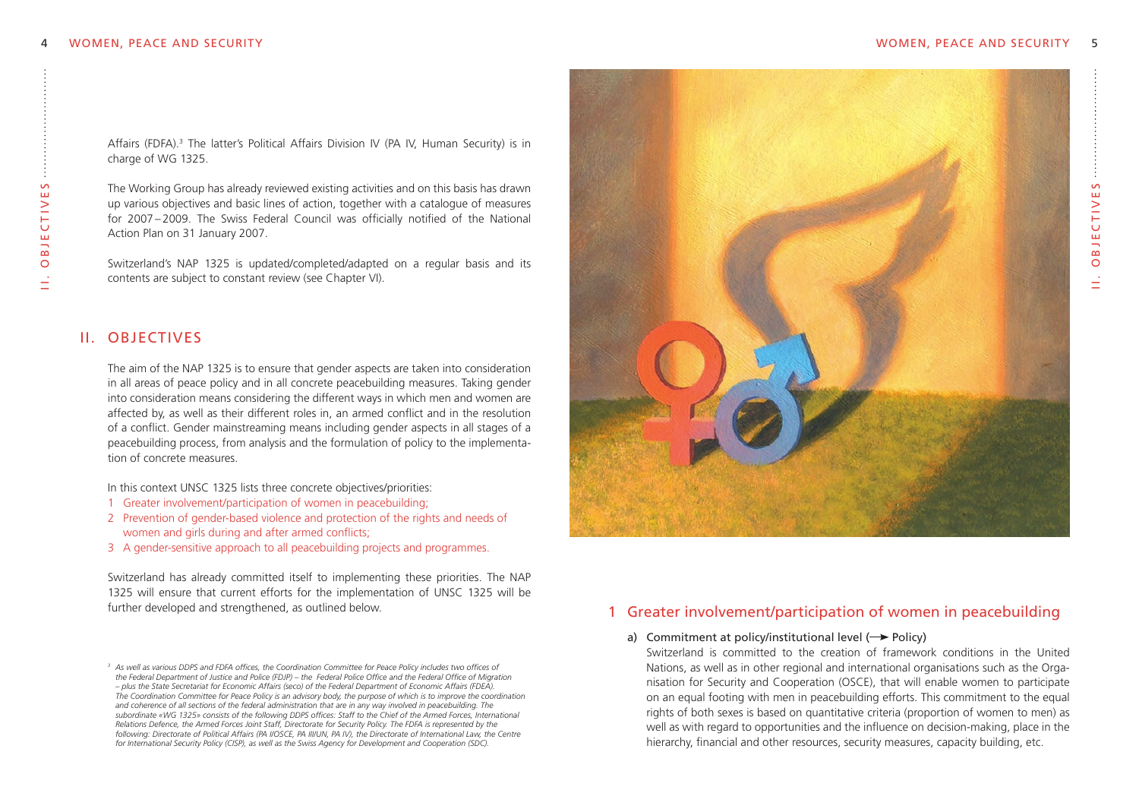$\sim$  . Ob j e c t i v e s **BJECTIVE**  $\overline{\circ}$ 

II

Affairs (FDFA).<sup>3</sup> The latter's Political Affairs Division IV (PA IV, Human Security) is in charge of WG 1325.

The Working Group has already reviewed existing activities and on this basis has drawn up various objectives and basic lines of action, together with a catalogue of measures for 2007 – 2009. The Swiss Federal Council was officially notified of the National Action Plan on 31 January 2007.

Switzerland's NAP 1325 is updated/completed/adapted on a regular basis and its contents are subject to constant review (see Chapter VI).

## II. Objectives

The aim of the NAP 1325 is to ensure that gender aspects are taken into consideration in all areas of peace policy and in all concrete peacebuilding measures. Taking gender into consideration means considering the different ways in which men and women are affected by, as well as their different roles in, an armed conflict and in the resolution of a conflict. Gender mainstreaming means including gender aspects in all stages of a peacebuilding process, from analysis and the formulation of policy to the implementation of concrete measures.

In this context UNSC 1325 lists three concrete objectives/priorities:

- 1 Greater involvement/participation of women in peacebuilding;
- 2 Prevention of gender-based violence and protection of the rights and needs of women and girls during and after armed conflicts;
- 3 A gender-sensitive approach to all peacebuilding projects and programmes.

Switzerland has already committed itself to implementing these priorities. The NAP 1325 will ensure that current efforts for the implementation of UNSC 1325 will be further developed and strengthened, as outlined below.



## 1 Greater involvement/participation of women in peacebuilding

#### a) Commitment at policy/institutional level  $(\rightarrow$  Policy)

Switzerland is committed to the creation of framework conditions in the United Nations, as well as in other regional and international organisations such as the Organisation for Security and Cooperation (OSCE), that will enable women to participate on an equal footing with men in peacebuilding efforts. This commitment to the equal rights of both sexes is based on quantitative criteria (proportion of women to men) as well as with regard to opportunities and the influence on decision-making, place in the hierarchy, financial and other resources, security measures, capacity building, etc.

 $^{\rm 3}$  As well as various DDPS and FDFA offices, the Coordination Committee for Peace Policy includes two offices of the Federal Department of Justice and Police (FDJP) - the Federal Police Office and the Federal Office of Migration - plus the State Secretariat for Economic Affairs (seco) of the Federal Department of Economic Affairs (FDEA). The Coordination Committee for Peace Policy is an advisory body, the purpose of which is to improve the coordination and coherence of all sections of the federal administration that are in any way involved in peacebuilding. The subordinate «WG 1325» consists of the following DDPS offices: Staff to the Chief of the Armed Forces, International Relations Defence, the Armed Forces Joint Staff, Directorate for Security Policy, The FDFA is represented by the following: Directorate of Political Affairs (PA I/OSCE, PA III/UN, PA IV), the Directorate of International Law, the Centre *for International Security Policy (CISP), as well as the Swiss Agency for Development and Cooperation (SDC).*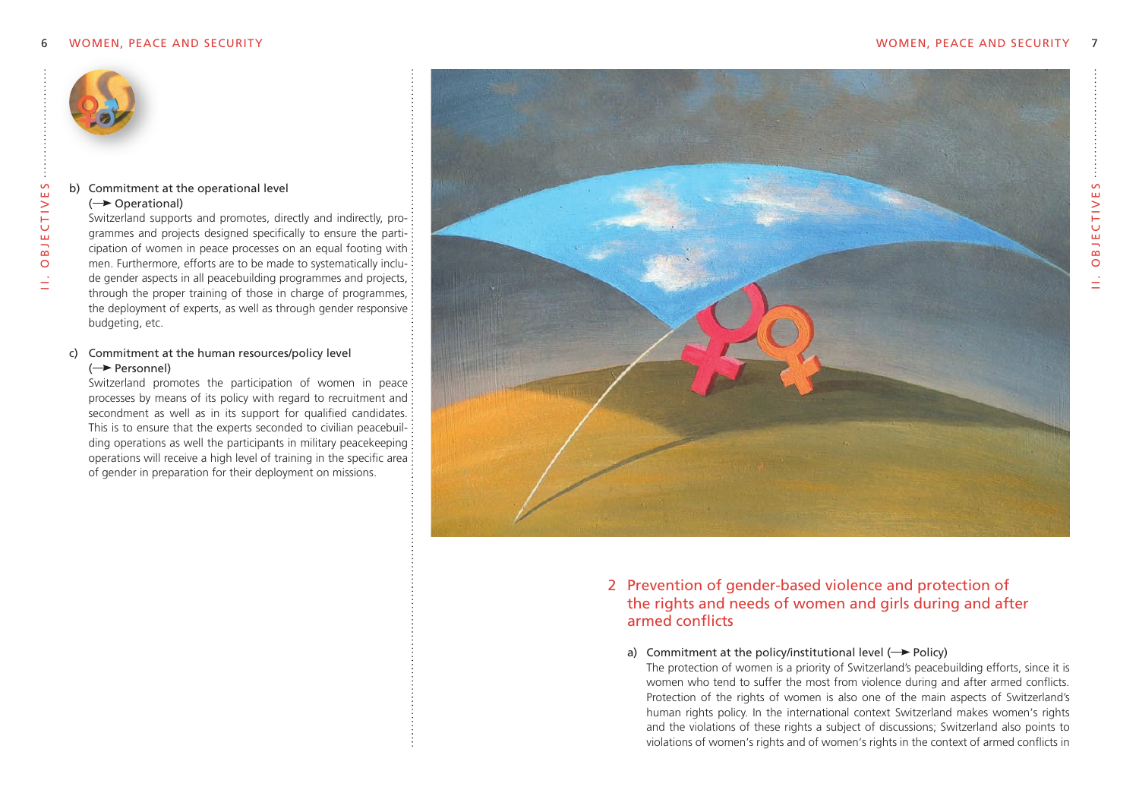

#### b) commitment at the operational level

#### $\leftrightarrow$  Operational)

Switzerland supports and promotes, directly and indirectly, programmes and projects designed specifically to ensure the participation of women in peace processes on an equal footing with  $\colon$ men. Furthermore, efforts are to be made to systematically include gender aspects in all peacebuilding programmes and projects, through the proper training of those in charge of programmes, the deployment of experts, as well as through gender responsive budgeting, etc.

#### c) commitment at the human resources/policy level  $\leftrightarrow$  Personnel)

Switzerland promotes the participation of women in peace: processes by means of its policy with regard to recruitment and: secondment as well as in its support for qualified candidates. This is to ensure that the experts seconded to civilian peacebuilding operations as well the participants in military peacekeeping: operations will receive a high level of training in the specific area of gender in preparation for their deployment on missions.



## 2 Prevention of gender-based violence and protection of the rights and needs of women and girls during and after armed conflicts

#### a) Commitment at the policy/institutional level  $(\rightarrow$  Policy)

The protection of women is a priority of Switzerland's peacebuilding efforts, since it is women who tend to suffer the most from violence during and after armed conflicts. Protection of the rights of women is also one of the main aspects of Switzerland's human rights policy. In the international context Switzerland makes women's rights and the violations of these rights a subject of discussions; Switzerland also points to violations of women's rights and of women's rights in the context of armed conflicts in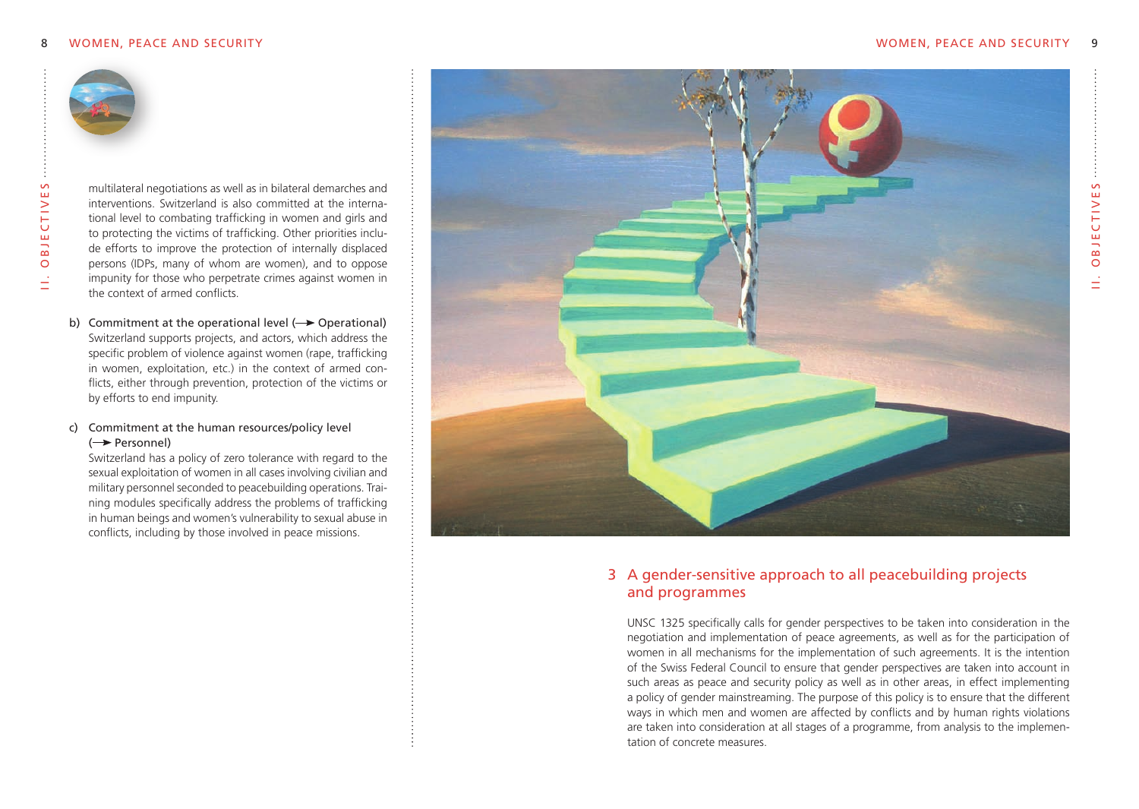

multilateral negotiations as well as in bilateral demarches and interventions. Switzerland is also committed at the international level to combating trafficking in women and girls and to protecting the victims of trafficking. Other priorities include efforts to improve the protection of internally displaced persons (IDPs, many of whom are women), and to oppose impunity for those who perpetrate crimes against women in the context of armed conflicts.

b) Commitment at the operational level  $(\rightarrow$  Operational) Switzerland supports projects, and actors, which address the specific problem of violence against women (rape, trafficking in women, exploitation, etc.) in the context of armed conflicts, either through prevention, protection of the victims or by efforts to end impunity.

## c) commitment at the human resources/policy level ( Personnel)

Switzerland has a policy of zero tolerance with regard to the sexual exploitation of women in all cases involving civilian and military personnel seconded to peacebuilding operations. Training modules specifically address the problems of trafficking in human beings and women's vulnerability to sexual abuse in conflicts, including by those involved in peace missions.



# 3 A gender-sensitive approach to all peacebuilding projects and programmes

UNSC 1325 specifically calls for gender perspectives to be taken into consideration in the negotiation and implementation of peace agreements, as well as for the participation of women in all mechanisms for the implementation of such agreements. It is the intention of the Swiss Federal Council to ensure that gender perspectives are taken into account in such areas as peace and security policy as well as in other areas, in effect implementing a policy of gender mainstreaming. The purpose of this policy is to ensure that the different ways in which men and women are affected by conflicts and by human rights violations are taken into consideration at all stages of a programme, from analysis to the implementation of concrete measures.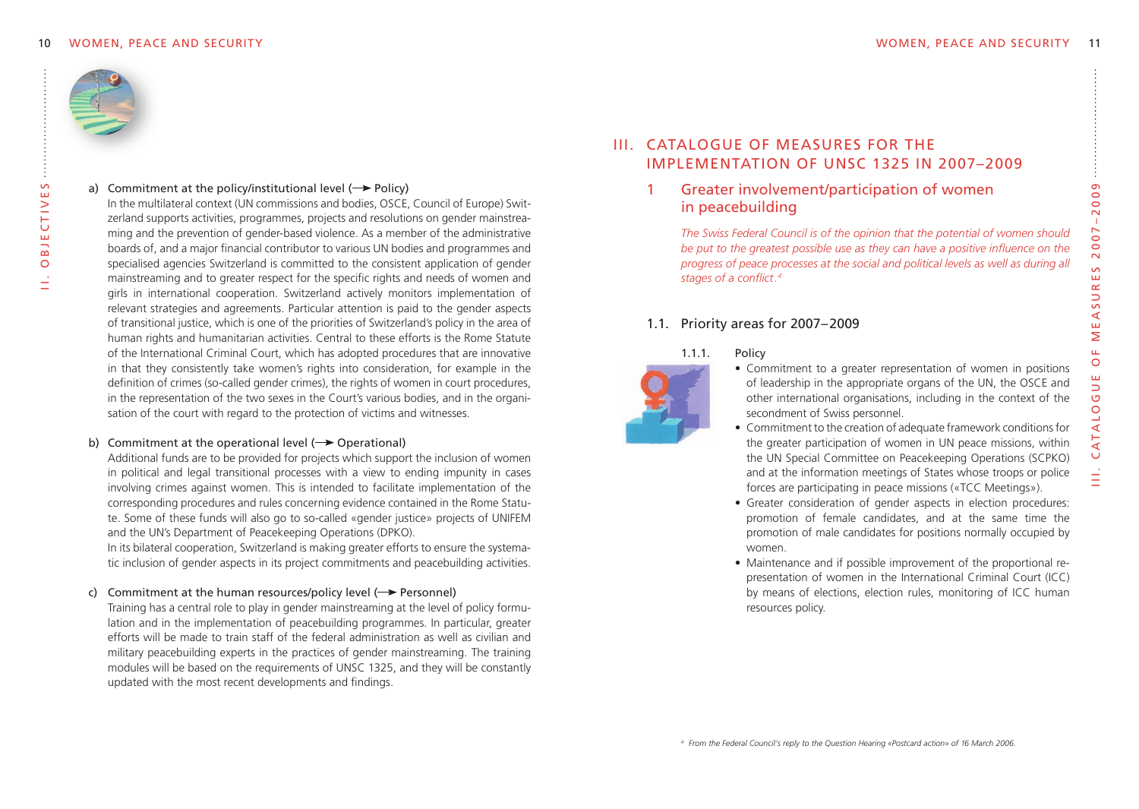

i i . o B j e c t i v e S

BJE<sub>I</sub>  $\circ$ 

CTIVES

#### a) Commitment at the policy/institutional level ( $\rightarrow$  Policy)

In the multilateral context (UN commissions and bodies, OSCE, Council of Europe) Switzerland supports activities, programmes, projects and resolutions on gender mainstreaming and the prevention of gender-based violence. As a member of the administrative boards of, and a major financial contributor to various UN bodies and programmes and specialised agencies Switzerland is committed to the consistent application of gender mainstreaming and to greater respect for the specific rights and needs of women and girls in international cooperation. Switzerland actively monitors implementation of relevant strategies and agreements. Particular attention is paid to the gender aspects of transitional justice, which is one of the priorities of Switzerland's policy in the area of human rights and humanitarian activities. Central to these efforts is the Rome Statute of the International Criminal Court, which has adopted procedures that are innovative in that they consistently take women's rights into consideration, for example in the definition of crimes (so-called gender crimes), the rights of women in court procedures, in the representation of the two sexes in the Court's various bodies, and in the organisation of the court with regard to the protection of victims and witnesses.

#### b) Commitment at the operational level  $(\rightarrow$  Operational)

Additional funds are to be provided for projects which support the inclusion of women in political and legal transitional processes with a view to ending impunity in cases involving crimes against women. This is intended to facilitate implementation of the corresponding procedures and rules concerning evidence contained in the Rome Statute. Some of these funds will also go to so-called «gender justice» projects of UNIFEM and the UN's Department of Peacekeeping Operations (DPKO).

In its bilateral cooperation, Switzerland is making greater efforts to ensure the systematic inclusion of gender aspects in its project commitments and peacebuilding activities.

#### c) Commitment at the human resources/policy level  $(\rightarrow$  Personnel)

Training has a central role to play in gender mainstreaming at the level of policy formulation and in the implementation of peacebuilding programmes. In particular, greater efforts will be made to train staff of the federal administration as well as civilian and military peacebuilding experts in the practices of gender mainstreaming. The training modules will be based on the requirements of UNSC 1325, and they will be constantly updated with the most recent developments and findings.

# III. CATALOGUE OF MEASURES FOR THE **IMPLEMENTATION OF UNSC 1325 IN 2007-2009**

## Greater involvement/participation of women in peacebuilding

*The Swiss Federal Council is of the opinion that the potential of women should be put to the greatest possible use as they can have a positive influence on the* progress of peace processes at the social and political levels as well as during all stages of a conflict.<sup>4</sup>

## 1.1. Priority areas for 2007–2009

#### 1.1.1. Policy



- Commitment to a greater representation of women in positions of leadership in the appropriate organs of the UN, the OSCE and other international organisations, including in the context of the secondment of Swiss personnel.
- Commitment to the creation of adequate framework conditions for the greater participation of women in UN peace missions, within the UN Special Committee on Peacekeeping Operations (SCPKO) and at the information meetings of States whose troops or police forces are participating in peace missions («TCC Meetings»).
- Greater consideration of gender aspects in election procedures: promotion of female candidates, and at the same time the promotion of male candidates for positions normally occupied by women.
- Maintenance and if possible improvement of the proportional representation of women in the International Criminal Court (ICC) by means of elections, election rules, monitoring of ICC human resources policy.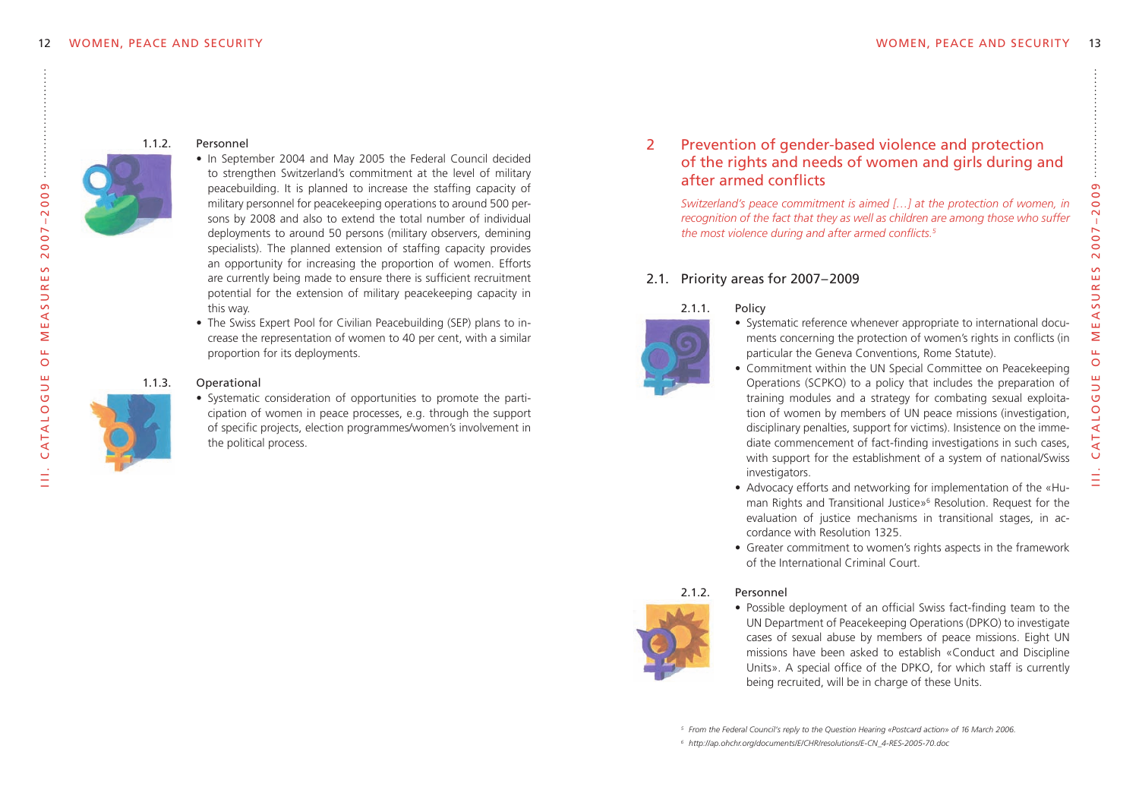

#### 112 Personnel

- In September 2004 and May 2005 the Federal Council decided to strengthen Switzerland's commitment at the level of military peacebuilding. It is planned to increase the staffing capacity of military personnel for peacekeeping operations to around 500 persons by 2008 and also to extend the total number of individual deployments to around 50 persons (military observers, demining specialists). The planned extension of staffing capacity provides an opportunity for increasing the proportion of women. Efforts are currently being made to ensure there is sufficient recruitment potential for the extension of military peacekeeping capacity in this way.
- The Swiss Expert Pool for Civilian Peacebuilding (SEP) plans to increase the representation of women to 40 per cent, with a similar proportion for its deployments.

#### 1.1.3. Operational



• Systematic consideration of opportunities to promote the participation of women in peace processes, e.g. through the support of specific projects, election programmes/women's involvement in the political process.

## 2 Prevention of gender-based violence and protection of the rights and needs of women and girls during and after armed conflicts

*Switzerland's peace commitment is aimed […] at the protection of women, in recognition of the fact that they as well as children are among those who suffer the most violence during and after armed conflicts.5*

## 2.1. Priority areas for 2007–2009

## 2.1.1. Policy

- Systematic reference whenever appropriate to international documents concerning the protection of women's rights in conflicts (in particular the Geneva Conventions, Rome Statute).
- Commitment within the UN Special Committee on Peacekeeping Operations (SCPKO) to a policy that includes the preparation of training modules and a strategy for combating sexual exploitation of women by members of UN peace missions (investigation, disciplinary penalties, support for victims). Insistence on the immediate commencement of fact-finding investigations in such cases, with support for the establishment of a system of national/Swiss investigators.
	-
- Advocacy efforts and networking for implementation of the «Human Rights and Transitional Justice»<sup>6</sup> Resolution. Request for the evaluation of justice mechanisms in transitional stages, in accordance with Resolution 1325.
- Greater commitment to women's rights aspects in the framework of the International Criminal Court.

## 2.1.2. Personnel

• Possible deployment of an official Swiss fact-finding team to the UN Department of Peacekeeping Operations (DPKO) to investigate cases of sexual abuse by members of peace missions. Eight UN missions have been asked to establish «Conduct and Discipline Units». A special office of the DPKO, for which staff is currently being recruited, will be in charge of these Units.

*6 http://ap.ohchr.org/documents/E/CHR/resolutions/E-CN\_4-RES-2005-70.doc*



III. CATALOGUE

. C at a l o g u e o f m e a s u r e s 2 0 0 7 – 2 0 0 9

 $\mathbf{u}$  $\circ$ 

 $007 - 2009$ 

 $\overline{\sim}$  $\sim$ 

RE.

 $\overline{S}$ 

 $\prec$ ш Σ

*<sup>5</sup> From the Federal Council's reply to the Question Hearing «Postcard action» of 16 March 2006.*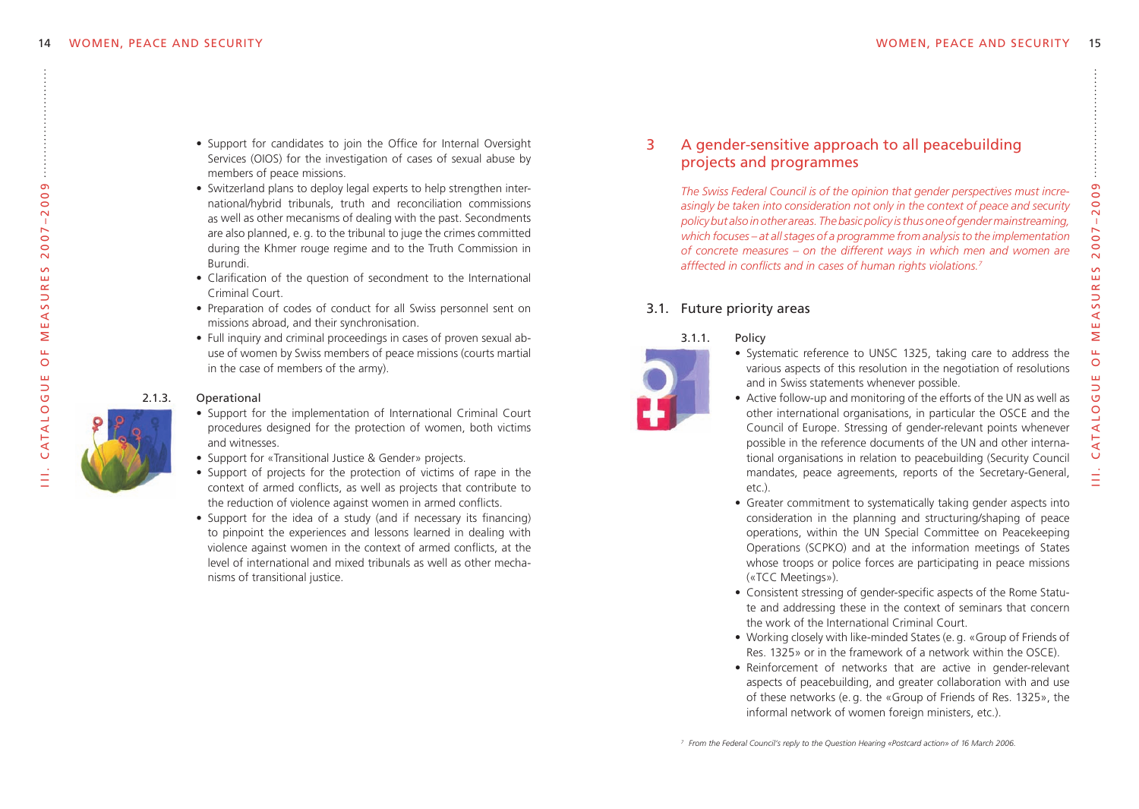$\frac{1}{2}$ 

CATALO

. C at a l o g u e o f m e a s u r e s 2 0 0 7 – 2 0 0 9

 $\circ$ ш  $\supset$  $\bar{\sigma}$ 

 $\overline{\ge}$  $\bar{\mathbf{u}}$ 

 $2007 - 2009$ 

 $\mathsf{S}$ 

EASURE

- Support for candidates to join the Office for Internal Oversight Services (OIOS) for the investigation of cases of sexual abuse by members of peace missions.
- Switzerland plans to deploy legal experts to help strengthen international/hybrid tribunals, truth and reconciliation commissions as well as other mecanisms of dealing with the past. Secondments are also planned, e. g. to the tribunal to juge the crimes committed during the Khmer rouge regime and to the Truth Commission in Burundi.
- Clarification of the question of secondment to the International Criminal Court.
- Preparation of codes of conduct for all Swiss personnel sent on missions abroad, and their synchronisation.
- Full inquiry and criminal proceedings in cases of proven sexual abuse of women by Swiss members of peace missions (courts martial in the case of members of the army).

#### 2.1.3. Operational

- Support for the implementation of International Criminal Court procedures designed for the protection of women, both victims and witnesses.
- Support for «Transitional Justice & Gender» projects.
- Support of projects for the protection of victims of rape in the context of armed conflicts, as well as projects that contribute to the reduction of violence against women in armed conflicts.
- Support for the idea of a study (and if necessary its financing) to pinpoint the experiences and lessons learned in dealing with violence against women in the context of armed conflicts, at the level of international and mixed tribunals as well as other mechanisms of transitional justice.

## 3 A gender-sensitive approach to all peacebuilding projects and programmes

*The Swiss Federal Council is of the opinion that gender perspectives must increasingly be taken into consideration not only in the context of peace and security policybut alsoinother areas. Thebasicpolicy isthusoneofgendermainstreaming, which focuses – at allstages of a programme from analysisto the implementation of concrete measures – on the different ways in which men and women are afffected in conflicts and in cases of human rights violations.7*

## 3.1. Future priority areas

3.1.1. Policy



- Systematic reference to UNSC 1325, taking care to address the various aspects of this resolution in the negotiation of resolutions and in Swiss statements whenever possible.
- Active follow-up and monitoring of the efforts of the UN as well as other international organisations, in particular the OSCE and the Council of Europe. Stressing of gender-relevant points whenever possible in the reference documents of the UN and other international organisations in relation to peacebuilding (Security Council mandates, peace agreements, reports of the Secretary-General, etc.).
- Greater commitment to systematically taking gender aspects into consideration in the planning and structuring/shaping of peace operations, within the UN Special Committee on Peacekeeping Operations (SCPKO) and at the information meetings of States whose troops or police forces are participating in peace missions («TCC Meetings»).
- Consistent stressing of gender-specific aspects of the Rome Statute and addressing these in the context of seminars that concern the work of the International Criminal Court.
- Working closely with like-minded States (e. g. «Group of Friends of Res. 1325» or in the framework of a network within the OSCE).
- Reinforcement of networks that are active in gender-relevant aspects of peacebuilding, and greater collaboration with and use of these networks (e. g. the «Group of Friends of Res. 1325», the informal network of women foreign ministers, etc.).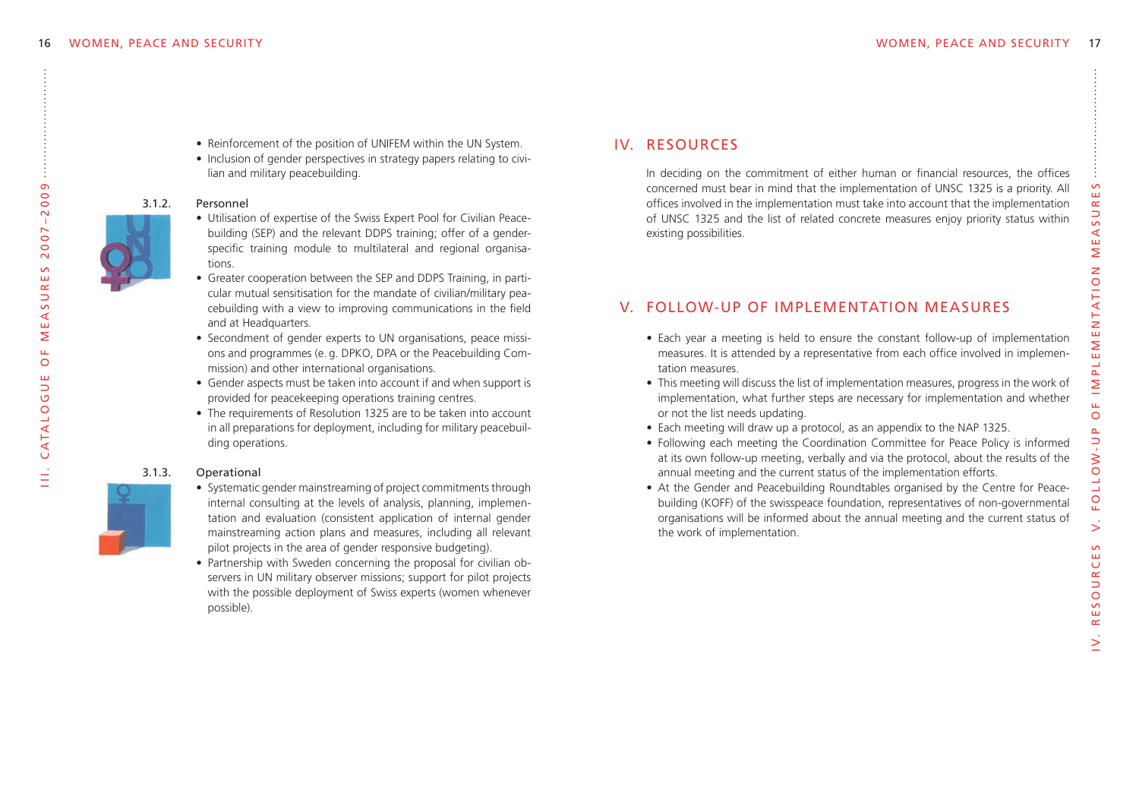- Reinforcement of the position of UNIFEM within the UN System.
- Inclusion of gender perspectives in strategy papers relating to civilian and military peacebuilding.

#### 3.1.2. Personnel



- Utilisation of expertise of the Swiss Expert Pool for Civilian Peacebuilding (SEP) and the relevant DDPS training; offer of a genderspecific training module to multilateral and regional organisations.
- Greater cooperation between the SEP and DDPS Training, in particular mutual sensitisation for the mandate of civilian/military peacebuilding with a view to improving communications in the field and at Headquarters.
- Secondment of gender experts to UN organisations, peace missions and programmes (e. g. DPKO, DPA or the Peacebuilding Commission) and other international organisations.
- Gender aspects must be taken into account if and when support is provided for peacekeeping operations training centres.
- The requirements of Resolution 1325 are to be taken into account in all preparations for deployment, including for military peacebuilding operations.

## 3.1.3. Operational



 $\vec{\equiv}$ 

CATALOG

. C at a l o g u e o f m e a s u r e s 2 0 0 7 – 2 0 0 9

൭

 $\overline{0}$  $\sim$  $007 -$ 

 $\overline{\sim}$ 

 $\sim$  $\overline{R}$  $\overline{S}$  $\prec$ ш Σ  $\mathbf{u}$  $\circ$  $\mathbf{m}$ Б

- Systematic gender mainstreaming of project commitments through internal consulting at the levels of analysis, planning, implementation and evaluation (consistent application of internal gender mainstreaming action plans and measures, including all relevant pilot projects in the area of gender responsive budgeting).
- Partnership with Sweden concerning the proposal for civilian observers in UN military observer missions; support for pilot projects with the possible deployment of Swiss experts (women whenever possible).

# IV. Resources

In deciding on the commitment of either human or financial resources, the offices concerned must bear in mind that the implementation of UNSC 1325 is a priority. All offices involved in the implementation must take into account that the implementation of UNSC 1325 and the list of related concrete measures enjoy priority status within existing possibilities.

# V. Follow-up of implementation measures

- Each year a meeting is held to ensure the constant follow-up of implementation measures. It is attended by a representative from each office involved in implementation measures.
- This meeting will discuss the list of implementation measures, progress in the work of implementation, what further steps are necessary for implementation and whether or not the list needs updating.
- Each meeting will draw up a protocol, as an appendix to the NAP 1325.
- Following each meeting the Coordination Committee for Peace Policy is informed at its own follow-up meeting, verbally and via the protocol, about the results of the annual meeting and the current status of the implementation efforts.
- At the Gender and Peacebuilding Roundtables organised by the Centre for Peacebuilding (KOFF) of the swisspeace foundation, representatives of non-governmental organisations will be informed about the annual meeting and the current status of the work of implementation.

IV